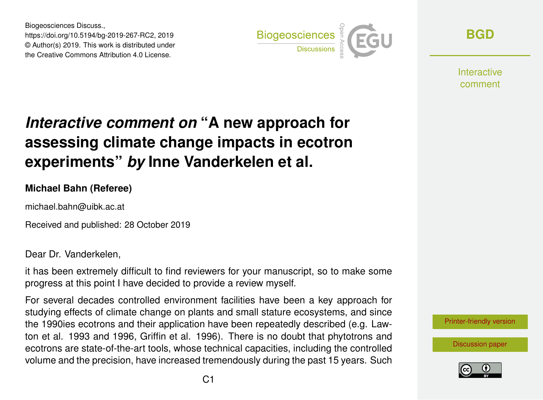Biogeosciences Discuss., https://doi.org/10.5194/bg-2019-267-RC2, 2019 © Author(s) 2019. This work is distributed under the Creative Commons Attribution 4.0 License.



**[BGD](https://www.biogeosciences-discuss.net/)**

**Interactive** comment

## *Interactive comment on* **"A new approach for assessing climate change impacts in ecotron experiments"** *by* **Inne Vanderkelen et al.**

## **Michael Bahn (Referee)**

michael.bahn@uibk.ac.at

Received and published: 28 October 2019

Dear Dr. Vanderkelen,

it has been extremely difficult to find reviewers for your manuscript, so to make some progress at this point I have decided to provide a review myself.

For several decades controlled environment facilities have been a key approach for studying effects of climate change on plants and small stature ecosystems, and since the 1990ies ecotrons and their application have been repeatedly described (e.g. Lawton et al. 1993 and 1996, Griffin et al. 1996). There is no doubt that phytotrons and ecotrons are state-of-the-art tools, whose technical capacities, including the controlled volume and the precision, have increased tremendously during the past 15 years. Such

[Printer-friendly version](https://www.biogeosciences-discuss.net/bg-2019-267/bg-2019-267-RC2-print.pdf)

[Discussion paper](https://www.biogeosciences-discuss.net/bg-2019-267)